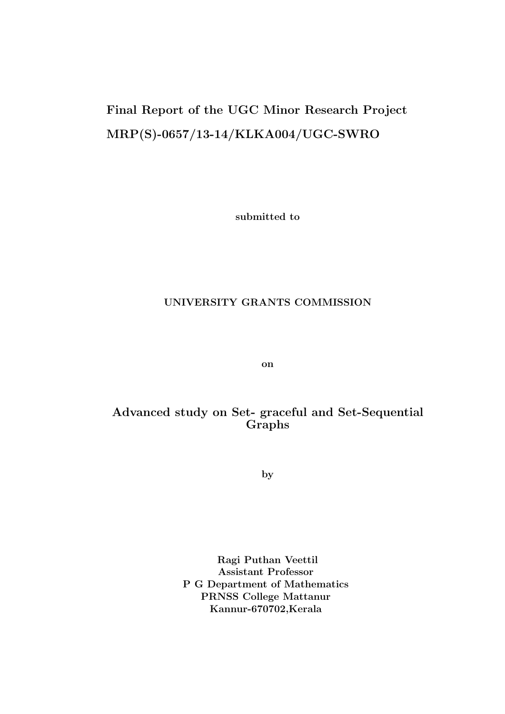# Final Report of the UGC Minor Research Project MRP(S)-0657/13-14/KLKA004/UGC-SWRO

submitted to

#### UNIVERSITY GRANTS COMMISSION

on

#### Advanced study on Set- graceful and Set-Sequential Graphs

by

Ragi Puthan Veettil Assistant Professor P G Department of Mathematics PRNSS College Mattanur Kannur-670702,Kerala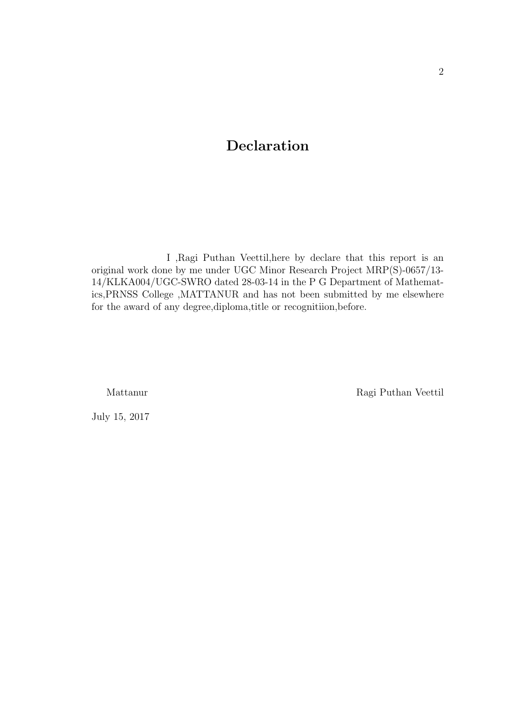# Declaration

I ,Ragi Puthan Veettil,here by declare that this report is an original work done by me under UGC Minor Research Project MRP(S)-0657/13- 14/KLKA004/UGC-SWRO dated 28-03-14 in the P G Department of Mathematics,PRNSS College ,MATTANUR and has not been submitted by me elsewhere for the award of any degree,diploma,title or recognitiion,before.

Mattanur Ragi Puthan Veettil

July 15, 2017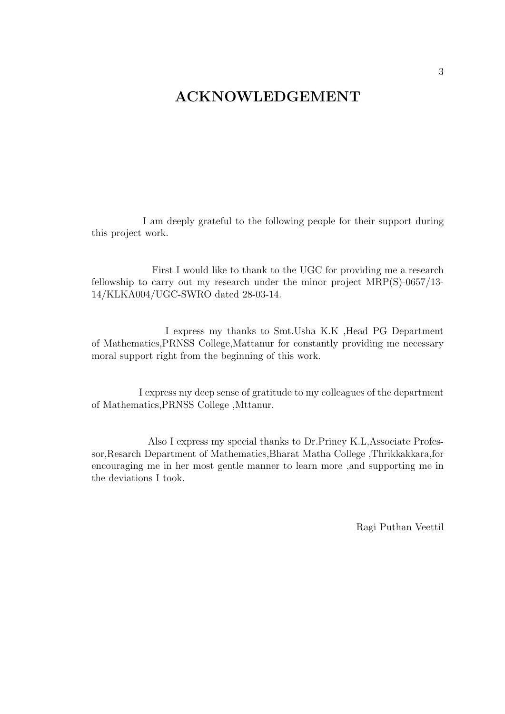# ACKNOWLEDGEMENT

I am deeply grateful to the following people for their support during this project work.

First I would like to thank to the UGC for providing me a research fellowship to carry out my research under the minor project MRP(S)-0657/13- 14/KLKA004/UGC-SWRO dated 28-03-14.

I express my thanks to Smt.Usha K.K ,Head PG Department of Mathematics,PRNSS College,Mattanur for constantly providing me necessary moral support right from the beginning of this work.

I express my deep sense of gratitude to my colleagues of the department of Mathematics,PRNSS College ,Mttanur.

Also I express my special thanks to Dr.Princy K.L,Associate Professor,Resarch Department of Mathematics,Bharat Matha College ,Thrikkakkara,for encouraging me in her most gentle manner to learn more ,and supporting me in the deviations I took.

Ragi Puthan Veettil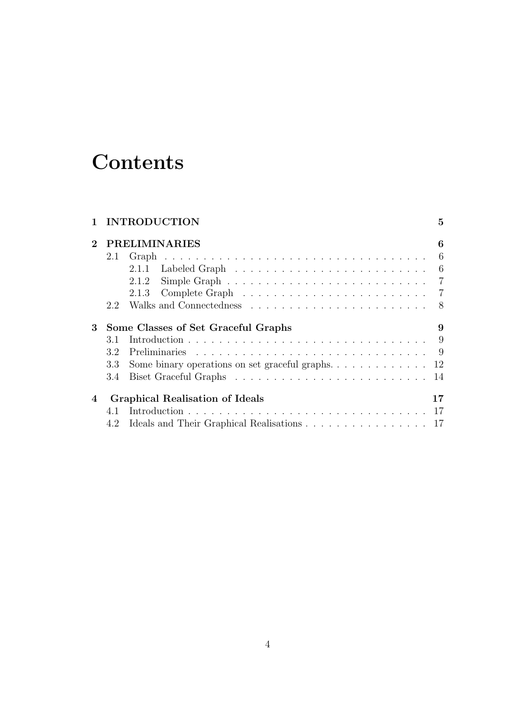# **Contents**

|             |                                        | <b>INTRODUCTION</b>                                                               | $\overline{5}$ |
|-------------|----------------------------------------|-----------------------------------------------------------------------------------|----------------|
| $\mathbf 2$ | <b>PRELIMINARIES</b>                   |                                                                                   |                |
|             | 2.1                                    |                                                                                   | - 6            |
|             |                                        |                                                                                   |                |
|             |                                        | 2.1.2                                                                             |                |
|             |                                        |                                                                                   |                |
|             | 2.2                                    |                                                                                   |                |
| 3           | Some Classes of Set Graceful Graphs    |                                                                                   |                |
|             | 3.1                                    |                                                                                   |                |
|             | 3.2                                    |                                                                                   |                |
|             | 3.3                                    | Some binary operations on set graceful graphs. $\dots \dots \dots \dots \dots$ 12 |                |
|             | 3.4                                    |                                                                                   |                |
| 4           | <b>Graphical Realisation of Ideals</b> |                                                                                   | 17             |
|             | 4.1                                    |                                                                                   | -17            |
|             | 4.2                                    | Ideals and Their Graphical Realisations 17                                        |                |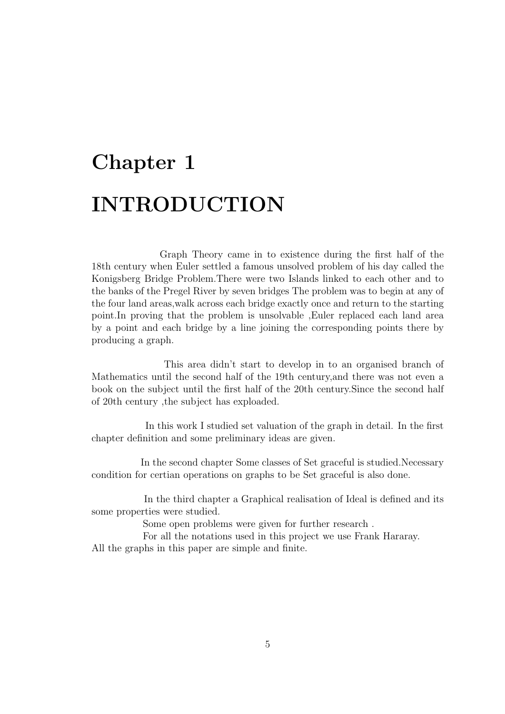# Chapter 1 INTRODUCTION

Graph Theory came in to existence during the first half of the 18th century when Euler settled a famous unsolved problem of his day called the Konigsberg Bridge Problem.There were two Islands linked to each other and to the banks of the Pregel River by seven bridges The problem was to begin at any of the four land areas,walk across each bridge exactly once and return to the starting point.In proving that the problem is unsolvable ,Euler replaced each land area by a point and each bridge by a line joining the corresponding points there by producing a graph.

This area didn't start to develop in to an organised branch of Mathematics until the second half of the 19th century,and there was not even a book on the subject until the first half of the 20th century.Since the second half of 20th century ,the subject has exploaded.

In this work I studied set valuation of the graph in detail. In the first chapter definition and some preliminary ideas are given.

In the second chapter Some classes of Set graceful is studied.Necessary condition for certian operations on graphs to be Set graceful is also done.

In the third chapter a Graphical realisation of Ideal is defined and its some properties were studied.

Some open problems were given for further research .

For all the notations used in this project we use Frank Hararay. All the graphs in this paper are simple and finite.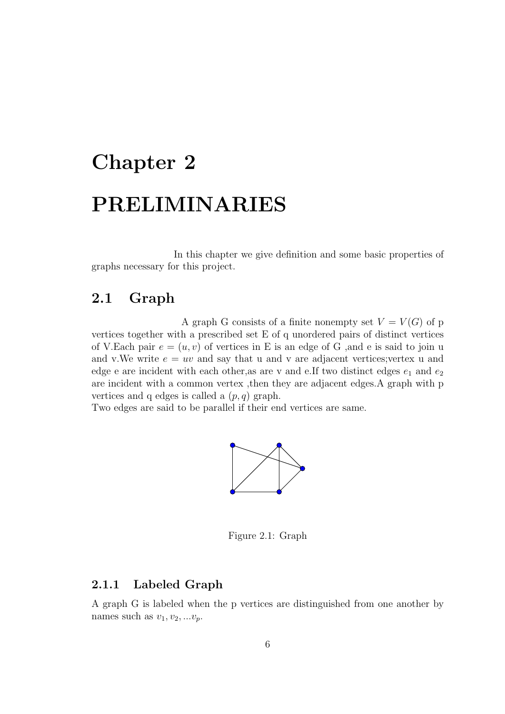# Chapter 2 PRELIMINARIES

In this chapter we give definition and some basic properties of graphs necessary for this project.

## 2.1 Graph

A graph G consists of a finite nonempty set  $V = V(G)$  of p vertices together with a prescribed set E of q unordered pairs of distinct vertices of V.Each pair  $e = (u, v)$  of vertices in E is an edge of G, and e is said to join u and v.We write  $e = uv$  and say that u and v are adjacent vertices; vertex u and edge e are incident with each other, as are v and e.If two distinct edges  $e_1$  and  $e_2$ are incident with a common vertex ,then they are adjacent edges.A graph with p vertices and q edges is called a  $(p, q)$  graph.

Two edges are said to be parallel if their end vertices are same.



Figure 2.1: Graph

#### 2.1.1 Labeled Graph

A graph G is labeled when the p vertices are distinguished from one another by names such as  $v_1, v_2, ... v_n$ .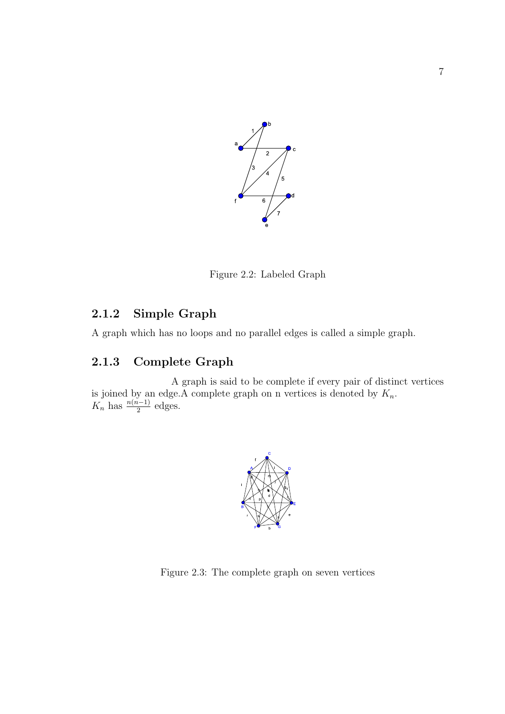

Figure 2.2: Labeled Graph

## 2.1.2 Simple Graph

A graph which has no loops and no parallel edges is called a simple graph.

## 2.1.3 Complete Graph

A graph is said to be complete if every pair of distinct vertices is joined by an edge. A complete graph on n vertices is denoted by  $K_n$ .  $K_n$  has  $\frac{n(n-1)}{2}$  edges.



Figure 2.3: The complete graph on seven vertices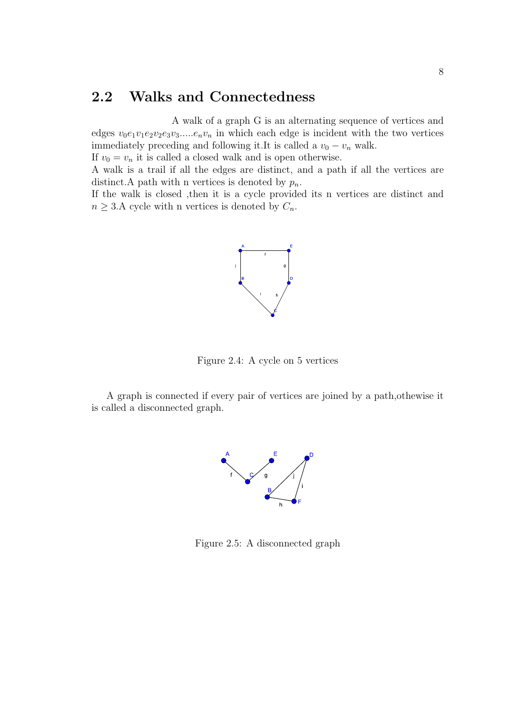# 2.2 Walks and Connectedness

A walk of a graph G is an alternating sequence of vertices and edges  $v_0e_1v_1e_2v_2e_3v_3\ldots e_nv_n$  in which each edge is incident with the two vertices immediately preceding and following it.It is called a  $v_0 - v_n$  walk. If  $v_0 = v_n$  it is called a closed walk and is open otherwise.

A walk is a trail if all the edges are distinct, and a path if all the vertices are distinct. A path with n vertices is denoted by  $p_n$ .

If the walk is closed ,then it is a cycle provided its n vertices are distinct and  $n \geq 3.A$  cycle with n vertices is denoted by  $C_n$ .



Figure 2.4: A cycle on 5 vertices

A graph is connected if every pair of vertices are joined by a path,othewise it is called a disconnected graph.



Figure 2.5: A disconnected graph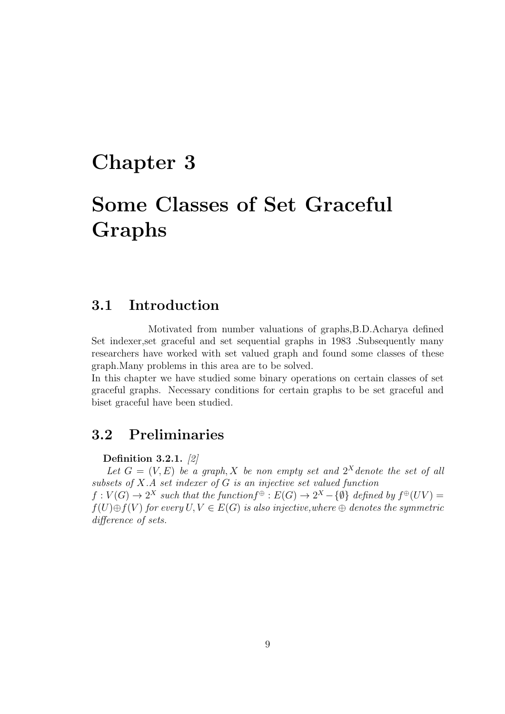# Chapter 3

# Some Classes of Set Graceful Graphs

### 3.1 Introduction

Motivated from number valuations of graphs,B.D.Acharya defined Set indexer,set graceful and set sequential graphs in 1983 .Subsequently many researchers have worked with set valued graph and found some classes of these graph.Many problems in this area are to be solved.

In this chapter we have studied some binary operations on certain classes of set graceful graphs. Necessary conditions for certain graphs to be set graceful and biset graceful have been studied.

# 3.2 Preliminaries

Definition 3.2.1. [2]

Let  $G = (V, E)$  be a graph, X be non empty set and  $2<sup>X</sup>$  denote the set of all subsets of X.A set indexer of G is an injective set valued function  $f: V(G) \to 2^X$  such that the function  $f^{\oplus}: E(G) \to 2^X - \{\emptyset\}$  defined by  $f^{\oplus}(UV) =$ 

 $f(U) \oplus f(V)$  for every  $U, V \in E(G)$  is also injective, where  $\oplus$  denotes the symmetric difference of sets.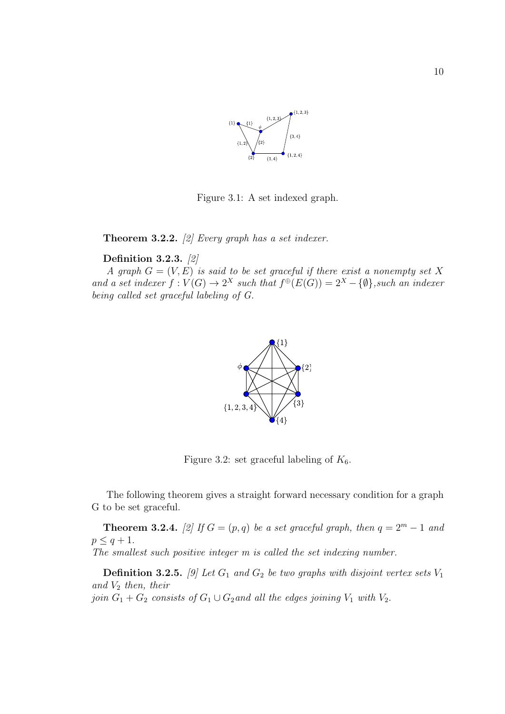

Figure 3.1: A set indexed graph.

**Theorem 3.2.2.** [2] Every graph has a set indexer.

#### Definition 3.2.3. [2]

A graph  $G = (V, E)^{\mathsf{T}}$  is said to be set graceful if there exist a nonempty set X and a set indexer  $f: V(G) \to 2^X$  such that  $f^{\oplus}(E(G)) = 2^X - {\emptyset}$ , such an indexer being called set graceful labeling of G.



Figure 3.2: set graceful labeling of  $K_6$ .

The following theorem gives a straight forward necessary condition for a graph G to be set graceful.

**Theorem 3.2.4.** [2] If  $G = (p, q)$  be a set graceful graph, then  $q = 2^m - 1$  and  $p \leq q+1$ . The smallest such positive integer m is called the set indexing number.

**Definition 3.2.5.** [9] Let  $G_1$  and  $G_2$  be two graphs with disjoint vertex sets  $V_1$ and  $V_2$  then, their

join  $G_1 + G_2$  consists of  $G_1 \cup G_2$  and all the edges joining  $V_1$  with  $V_2$ .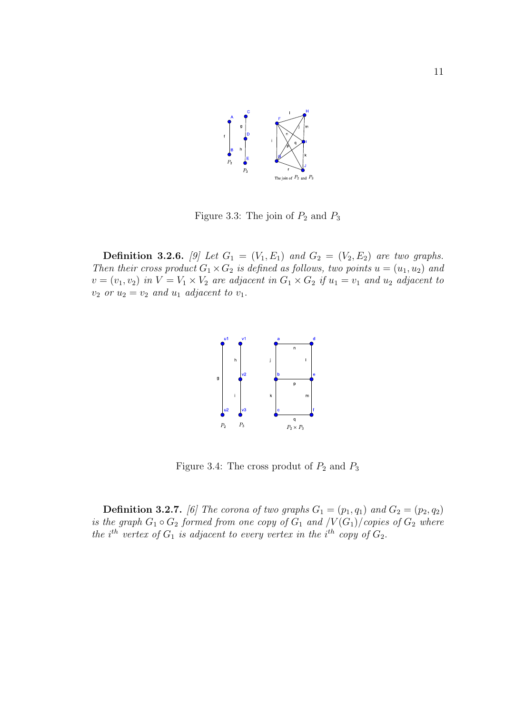

Figure 3.3: The join of  $P_2$  and  $P_3$ 

**Definition 3.2.6.** [9] Let  $G_1 = (V_1, E_1)$  and  $G_2 = (V_2, E_2)$  are two graphs. Then their cross product  $G_1 \times G_2$  is defined as follows, two points  $u = (u_1, u_2)$  and  $v = (v_1, v_2)$  in  $V = V_1 \times V_2$  are adjacent in  $G_1 \times G_2$  if  $u_1 = v_1$  and  $u_2$  adjacent to  $v_2$  or  $u_2 = v_2$  and  $u_1$  adjacent to  $v_1$ .



Figure 3.4: The cross produt of  $P_2$  and  $P_3$ 

**Definition 3.2.7.** [6] The corona of two graphs  $G_1 = (p_1, q_1)$  and  $G_2 = (p_2, q_2)$ is the graph  $G_1 \circ G_2$  formed from one copy of  $G_1$  and  $\sqrt{V(G_1)}$  copies of  $G_2$  where the i<sup>th</sup> vertex of  $G_1$  is adjacent to every vertex in the i<sup>th</sup> copy of  $G_2$ .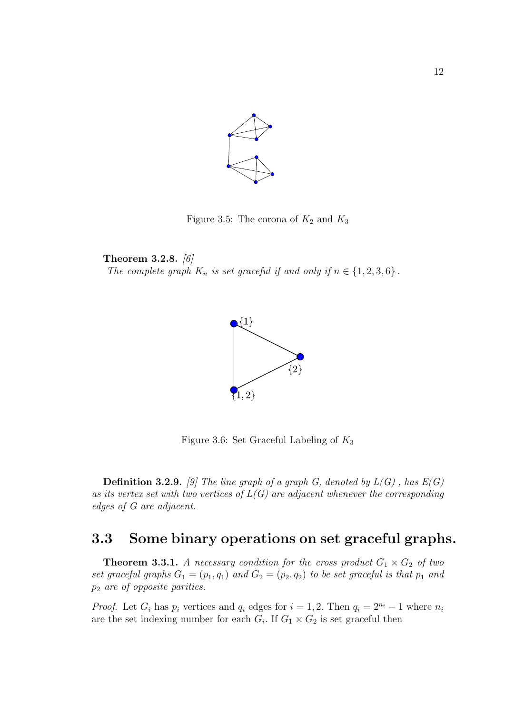

Figure 3.5: The corona of  $K_2$  and  $K_3$ 

Theorem 3.2.8. [6] The complete graph  $K_n$  is set graceful if and only if  $n \in \{1, 2, 3, 6\}$ .



Figure 3.6: Set Graceful Labeling of  $K_3$ 

**Definition 3.2.9.** [9] The line graph of a graph G, denoted by  $L(G)$ , has  $E(G)$ as its vertex set with two vertices of  $L(G)$  are adjacent whenever the corresponding edges of G are adjacent.

# 3.3 Some binary operations on set graceful graphs.

**Theorem 3.3.1.** A necessary condition for the cross product  $G_1 \times G_2$  of two set graceful graphs  $G_1 = (p_1, q_1)$  and  $G_2 = (p_2, q_2)$  to be set graceful is that  $p_1$  and p<sup>2</sup> are of opposite parities.

*Proof.* Let  $G_i$  has  $p_i$  vertices and  $q_i$  edges for  $i = 1, 2$ . Then  $q_i = 2^{n_i} - 1$  where  $n_i$ are the set indexing number for each  $G_i$ . If  $G_1 \times G_2$  is set graceful then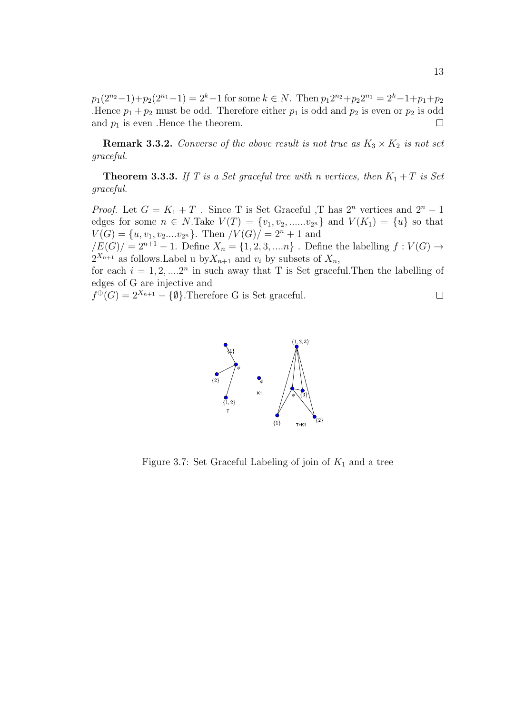$p_1(2^{n_2}-1)+p_2(2^{n_1}-1)=2^k-1$  for some  $k \in N$ . Then  $p_12^{n_2}+p_22^{n_1}=2^k-1+p_1+p_2$ .Hence  $p_1 + p_2$  must be odd. Therefore either  $p_1$  is odd and  $p_2$  is even or  $p_2$  is odd and  $p_1$  is even . Hence the theorem.

**Remark 3.3.2.** Converse of the above result is not true as  $K_3 \times K_2$  is not set graceful.

**Theorem 3.3.3.** If T is a Set graceful tree with n vertices, then  $K_1 + T$  is Set graceful.

*Proof.* Let  $G = K_1 + T$ . Since T is Set Graceful ,T has  $2^n$  vertices and  $2^n - 1$ edges for some  $n \in N$ . Take  $V(T) = \{v_1, v_2, \dots, v_{2^n}\}\$ and  $V(K_1) = \{u\}$  so that  $V(G) = \{u, v_1, v_2,...v_{2^n}\}.$  Then  $|V(G)| = 2^n + 1$  and

 $/E(G)$  =  $2^{n+1} - 1$ . Define  $X_n = \{1, 2, 3, ..., n\}$ . Define the labelling  $f : V(G) \to$  $2^{X_{n+1}}$  as follows. Label u by  $X_{n+1}$  and  $v_i$  by subsets of  $X_n$ ,

for each  $i = 1, 2, \dots, 2^n$  in such away that T is Set graceful. Then the labelling of edges of G are injective and

 $f^{\oplus}(G) = 2^{X_{n+1}} - {\emptyset}.$  Therefore G is Set graceful.





Figure 3.7: Set Graceful Labeling of join of  $K_1$  and a tree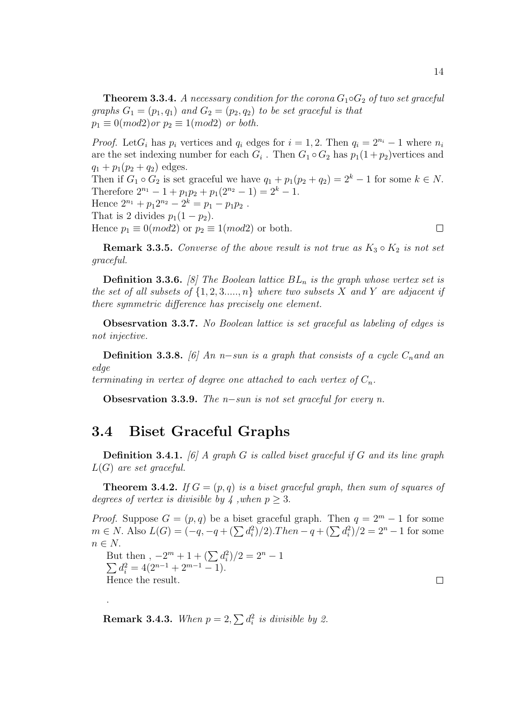**Theorem 3.3.4.** A necessary condition for the corona  $G_1 \circ G_2$  of two set graceful graphs  $G_1 = (p_1, q_1)$  and  $G_2 = (p_2, q_2)$  to be set graceful is that  $p_1 \equiv 0 \pmod{2}$  or  $p_2 \equiv 1 \pmod{2}$  or both.

*Proof.* Let  $G_i$  has  $p_i$  vertices and  $q_i$  edges for  $i = 1, 2$ . Then  $q_i = 2^{n_i} - 1$  where  $n_i$ are the set indexing number for each  $G_i$ . Then  $G_1 \circ G_2$  has  $p_1(1+p_2)$  vertices and  $q_1 + p_1(p_2 + q_2)$  edges.

Then if  $G_1 \circ G_2$  is set graceful we have  $q_1 + p_1(p_2 + q_2) = 2^k - 1$  for some  $k \in N$ . Therefore  $2^{n_1} - 1 + p_1p_2 + p_1(2^{n_2} - 1) = 2^k - 1$ . Hence  $2^{n_1} + p_1 2^{n_2} - 2^k = p_1 - p_1 p_2$ . That is 2 divides  $p_1(1-p_2)$ . Hence  $p_1 \equiv 0 (mod2)$  or  $p_2 \equiv 1 (mod2)$  or both.  $\Box$ 

**Remark 3.3.5.** Converse of the above result is not true as  $K_3 \circ K_2$  is not set graceful.

**Definition 3.3.6.** [8] The Boolean lattice  $BL_n$  is the graph whose vertex set is the set of all subsets of  $\{1, 2, 3, \ldots, n\}$  where two subsets X and Y are adjacent if there symmetric difference has precisely one element.

Obsesrvation 3.3.7. No Boolean lattice is set graceful as labeling of edges is not injective.

**Definition 3.3.8.** [6] An n–sun is a graph that consists of a cycle  $C_n$  and an edge

terminating in vertex of degree one attached to each vertex of  $C_n$ .

Obsesrvation 3.3.9. The n−sun is not set graceful for every n.

### 3.4 Biset Graceful Graphs

**Definition 3.4.1.** [6] A graph G is called biset graceful if G and its line graph  $L(G)$  are set graceful.

**Theorem 3.4.2.** If  $G = (p, q)$  is a biset graceful graph, then sum of squares of degrees of vertex is divisible by 4, when  $p \geq 3$ .

*Proof.* Suppose  $G = (p, q)$  be a biset graceful graph. Then  $q = 2^m - 1$  for some  $m \in N$ . Also  $L(G) = (-q, -q + (\sum d_i^2)/2)$ . Then −  $q + (\sum d_i^2)/2 = 2<sup>n</sup> - 1$  for some  $n \in N$ .

But then ,  $-2^m + 1 + (\sum d_i^2)/2 = 2$  $\sum$  $n-1$  $d_i^2 = 4(2^{n-1} + 2^{m-1} - 1).$ Hence the result.

.

 $\Box$ 

**Remark 3.4.3.** When  $p = 2$ ,  $\sum d_i^2$  is divisible by 2.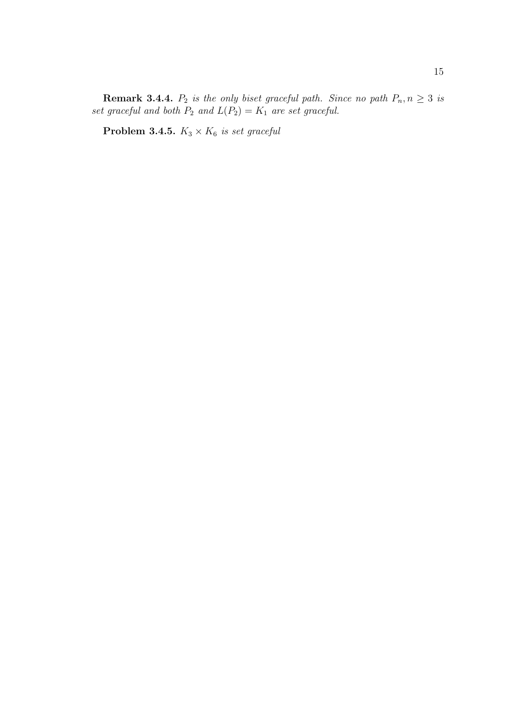**Remark 3.4.4.**  $P_2$  is the only biset graceful path. Since no path  $P_n, n \geq 3$  is set graceful and both  $P_2$  and  $L(P_2) = K_1$  are set graceful.

**Problem 3.4.5.**  $K_3 \times K_6$  is set graceful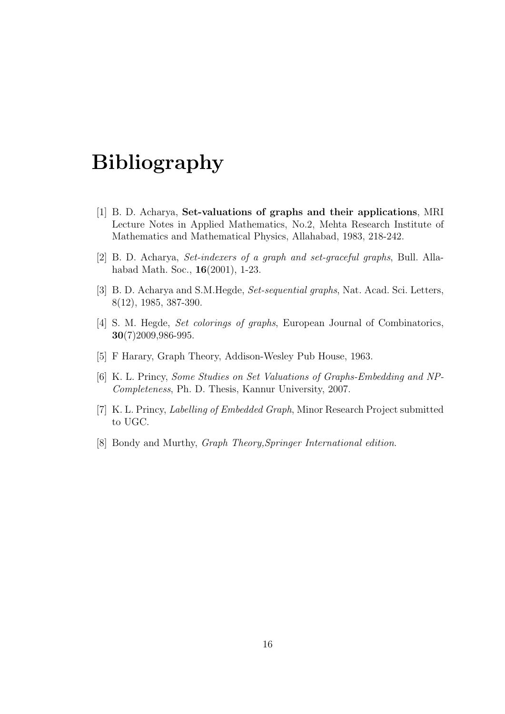# Bibliography

- [1] B. D. Acharya, Set-valuations of graphs and their applications, MRI Lecture Notes in Applied Mathematics, No.2, Mehta Research Institute of Mathematics and Mathematical Physics, Allahabad, 1983, 218-242.
- [2] B. D. Acharya, Set-indexers of a graph and set-graceful graphs, Bull. Allahabad Math. Soc., 16(2001), 1-23.
- [3] B. D. Acharya and S.M.Hegde, Set-sequential graphs, Nat. Acad. Sci. Letters, 8(12), 1985, 387-390.
- [4] S. M. Hegde, Set colorings of graphs, European Journal of Combinatorics, 30(7)2009,986-995.
- [5] F Harary, Graph Theory, Addison-Wesley Pub House, 1963.
- [6] K. L. Princy, Some Studies on Set Valuations of Graphs-Embedding and NP-Completeness, Ph. D. Thesis, Kannur University, 2007.
- [7] K. L. Princy, Labelling of Embedded Graph, Minor Research Project submitted to UGC.
- [8] Bondy and Murthy, Graph Theory,Springer International edition.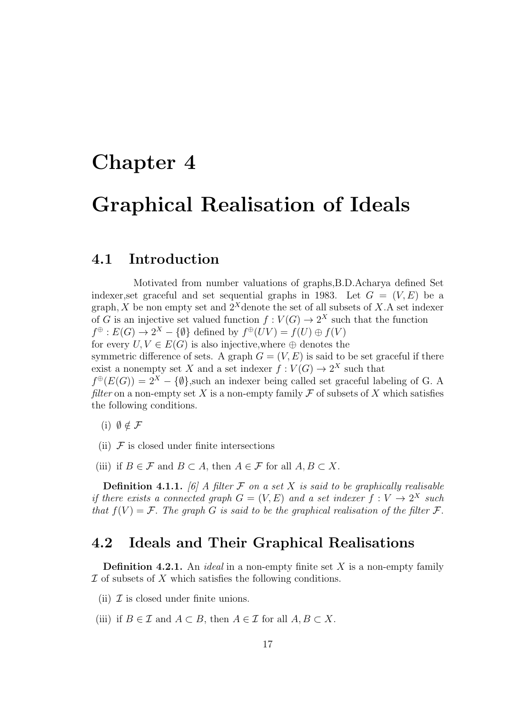# Chapter 4

# Graphical Realisation of Ideals

## 4.1 Introduction

Motivated from number valuations of graphs,B.D.Acharya defined Set indexer, set graceful and set sequential graphs in 1983. Let  $G = (V, E)$  be a graph, X be non empty set and  $2^X$ denote the set of all subsets of X.A set indexer of G is an injective set valued function  $f: V(G) \to 2^X$  such that the function  $f^{\oplus}: E(G) \to 2^{X} - \{\emptyset\}$  defined by  $f^{\oplus}(UV) = f(U) \oplus f(V)$ for every  $U, V \in E(G)$  is also injective, where  $\oplus$  denotes the symmetric difference of sets. A graph  $G = (V, E)$  is said to be set graceful if there exist a nonempty set X and a set indexer  $f: V(G) \to 2^X$  such that

 $f^{\oplus}(E(G)) = 2^{X} - {\emptyset}$ , such an indexer being called set graceful labeling of G. A filter on a non-empty set X is a non-empty family  $\mathcal F$  of subsets of X which satisfies the following conditions.

(i)  $\emptyset \notin \mathcal{F}$ 

- (ii)  $F$  is closed under finite intersections
- (iii) if  $B \in \mathcal{F}$  and  $B \subset A$ , then  $A \in \mathcal{F}$  for all  $A, B \subset X$ .

**Definition 4.1.1.** [6] A filter  $\mathcal F$  on a set  $X$  is said to be graphically realisable if there exists a connected graph  $G = (V, E)$  and a set indexer  $f: V \to 2^X$  such that  $f(V) = \mathcal{F}$ . The graph G is said to be the graphical realisation of the filter  $\mathcal{F}$ .

### 4.2 Ideals and Their Graphical Realisations

**Definition 4.2.1.** An *ideal* in a non-empty finite set  $X$  is a non-empty family  $\mathcal I$  of subsets of  $X$  which satisfies the following conditions.

- (ii)  $\mathcal I$  is closed under finite unions.
- (iii) if  $B \in \mathcal{I}$  and  $A \subset B$ , then  $A \in \mathcal{I}$  for all  $A, B \subset X$ .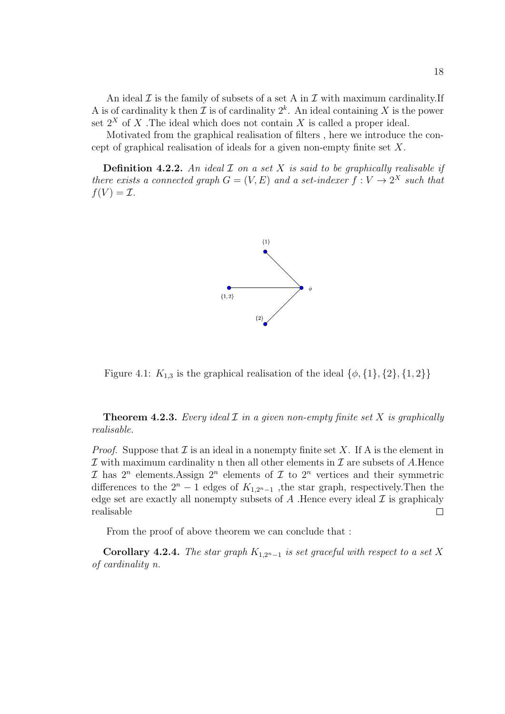An ideal  $\mathcal I$  is the family of subsets of a set A in  $\mathcal I$  with maximum cardinality. If A is of cardinality k then  $\mathcal I$  is of cardinality  $2^k$ . An ideal containing X is the power set  $2^X$  of X. The ideal which does not contain X is called a proper ideal.

Motivated from the graphical realisation of filters , here we introduce the concept of graphical realisation of ideals for a given non-empty finite set X.

**Definition 4.2.2.** An ideal  $\mathcal I$  on a set  $X$  is said to be graphically realisable if there exists a connected graph  $G = (V, E)$  and a set-indexer  $f: V \to 2^X$  such that  $f(V) = \mathcal{I}.$ 



Figure 4.1:  $K_{1,3}$  is the graphical realisation of the ideal  $\{\phi, \{1\}, \{2\}, \{1, 2\}\}\$ 

**Theorem 4.2.3.** Every ideal  $\mathcal I$  in a given non-empty finite set  $X$  is graphically realisable.

*Proof.* Suppose that  $\mathcal I$  is an ideal in a nonempty finite set X. If A is the element in  $\mathcal I$  with maximum cardinality n then all other elements in  $\mathcal I$  are subsets of A.Hence  $\mathcal I$  has  $2^n$  elements. Assign  $2^n$  elements of  $\mathcal I$  to  $2^n$  vertices and their symmetric differences to the  $2^n - 1$  edges of  $K_{1,2^n-1}$ , the star graph, respectively. Then the edge set are exactly all nonempty subsets of  $A$ . Hence every ideal  $\mathcal I$  is graphicaly realisable  $\Box$ 

From the proof of above theorem we can conclude that :

Corollary 4.2.4. The star graph  $K_{1,2<sup>n</sup>-1}$  is set graceful with respect to a set X of cardinality n.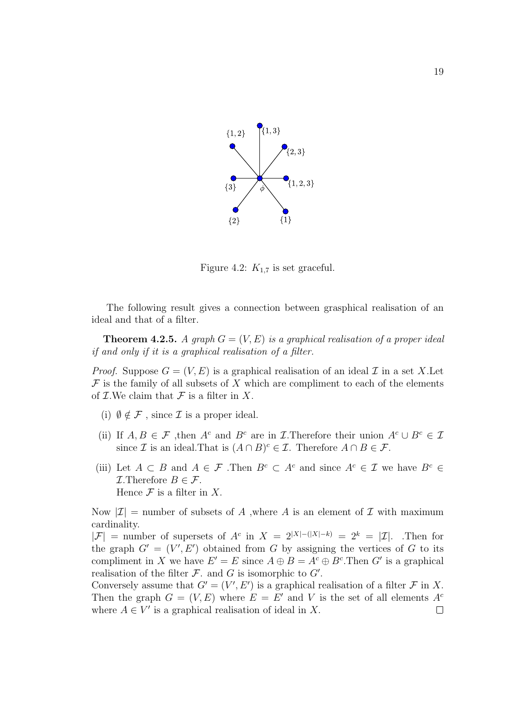

Figure 4.2:  $K_{1.7}$  is set graceful.

The following result gives a connection between grasphical realisation of an ideal and that of a filter.

**Theorem 4.2.5.** A graph  $G = (V, E)$  is a graphical realisation of a proper ideal if and only if it is a graphical realisation of a filter.

*Proof.* Suppose  $G = (V, E)$  is a graphical realisation of an ideal  $\mathcal I$  in a set X.  $\mathcal F$  is the family of all subsets of X which are compliment to each of the elements of  $\mathcal I$ . We claim that  $\mathcal F$  is a filter in X.

- (i)  $\emptyset \notin \mathcal{F}$ , since  $\mathcal I$  is a proper ideal.
- (ii) If  $A, B \in \mathcal{F}$ , then  $A^c$  and  $B^c$  are in *I*. Therefore their union  $A^c \cup B^c \in \mathcal{I}$ since  $\mathcal I$  is an ideal. That is  $(A \cap B)^c \in \mathcal I$ . Therefore  $A \cap B \in \mathcal F$ .
- (iii) Let  $A \subset B$  and  $A \in \mathcal{F}$ . Then  $B^c \subset A^c$  and since  $A^c \in \mathcal{I}$  we have  $B^c \in \mathcal{I}$ *I*. Therefore  $B \in \mathcal{F}$ . Hence  $\mathcal F$  is a filter in X.

Now  $|\mathcal{I}|$  = number of subsets of A ,where A is an element of  $\mathcal I$  with maximum cardinality.

 $|\mathcal{F}|$  = number of supersets of  $A^c$  in  $X = 2^{|X|-(|X|-k)} = 2^k = |\mathcal{I}|$ . Then for the graph  $G' = (V', E')$  obtained from G by assigning the vertices of G to its compliment in X we have  $E' = E$  since  $A \oplus B = A^c \oplus B^c$ . Then G' is a graphical realisation of the filter  $\mathcal F$ . and  $G$  is isomorphic to  $G'$ .

Conversely assume that  $G' = (V', E')$  is a graphical realisation of a filter  $\mathcal F$  in X. Then the graph  $G = (V, E)$  where  $E = E'$  and V is the set of all elements  $A<sup>c</sup>$ where  $A \in V'$  is a graphical realisation of ideal in X.  $\Box$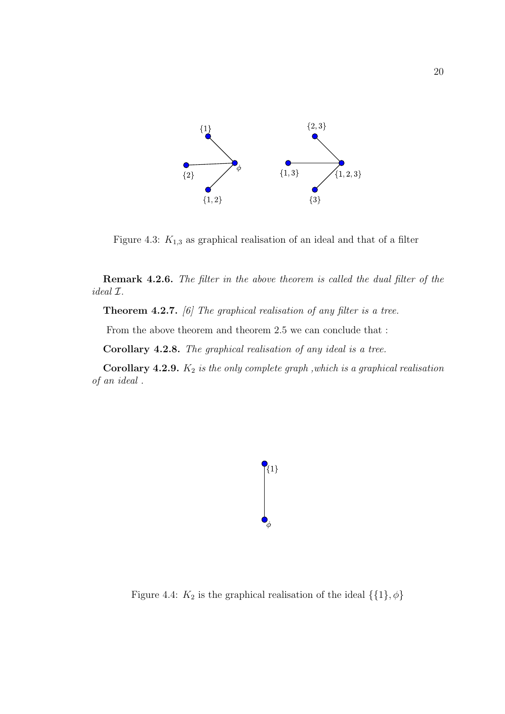

Figure 4.3:  $K_{1,3}$  as graphical realisation of an ideal and that of a filter

Remark 4.2.6. The filter in the above theorem is called the dual filter of the ideal I.

**Theorem 4.2.7.** [6] The graphical realisation of any filter is a tree.

From the above theorem and theorem 2.5 we can conclude that :

Corollary 4.2.8. The graphical realisation of any ideal is a tree.

Corollary 4.2.9.  $K_2$  is the only complete graph, which is a graphical realisation of an ideal .



Figure 4.4:  $K_2$  is the graphical realisation of the ideal  $\{\{1\}, \phi\}$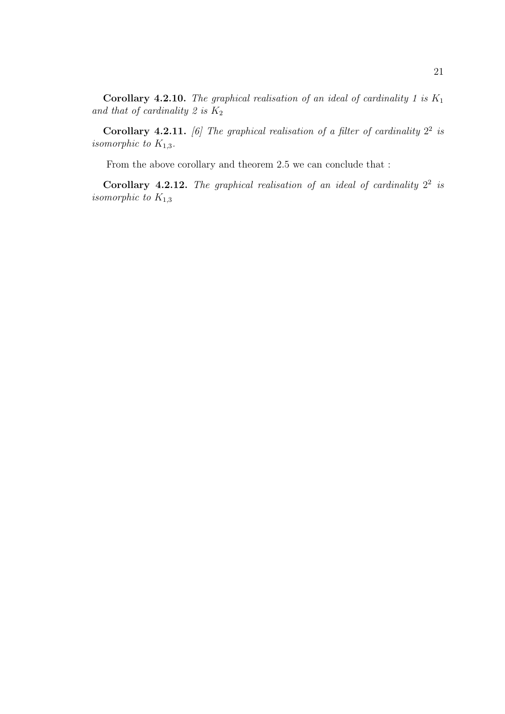Corollary 4.2.10. The graphical realisation of an ideal of cardinality 1 is  $K_1$ and that of cardinality 2 is  $K_2$ 

**Corollary 4.2.11.** [6] The graphical realisation of a filter of cardinality  $2^2$  is isomorphic to  $K_{1,3}$ .

From the above corollary and theorem 2.5 we can conclude that :

Corollary 4.2.12. The graphical realisation of an ideal of cardinality  $2^2$  is isomorphic to  $K_{1,3}$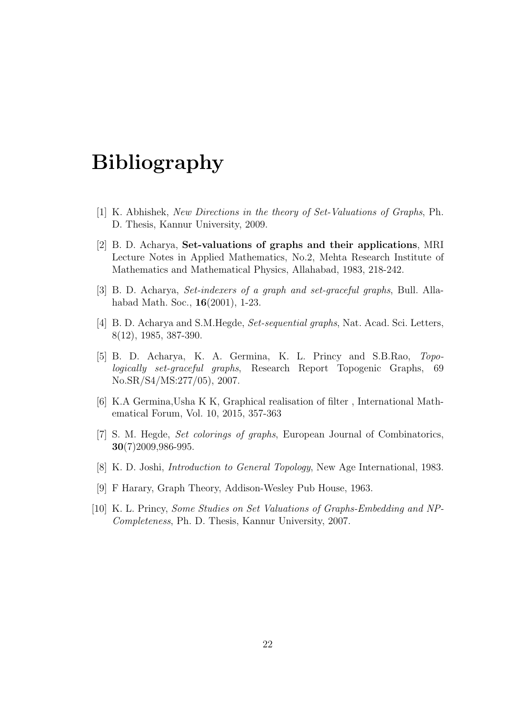# Bibliography

- [1] K. Abhishek, New Directions in the theory of Set-Valuations of Graphs, Ph. D. Thesis, Kannur University, 2009.
- [2] B. D. Acharya, Set-valuations of graphs and their applications, MRI Lecture Notes in Applied Mathematics, No.2, Mehta Research Institute of Mathematics and Mathematical Physics, Allahabad, 1983, 218-242.
- [3] B. D. Acharya, Set-indexers of a graph and set-graceful graphs, Bull. Allahabad Math. Soc., 16(2001), 1-23.
- [4] B. D. Acharya and S.M.Hegde, Set-sequential graphs, Nat. Acad. Sci. Letters, 8(12), 1985, 387-390.
- [5] B. D. Acharya, K. A. Germina, K. L. Princy and S.B.Rao, Topologically set-graceful graphs, Research Report Topogenic Graphs, 69 No.SR/S4/MS:277/05), 2007.
- [6] K.A Germina,Usha K K, Graphical realisation of filter , International Mathematical Forum, Vol. 10, 2015, 357-363
- [7] S. M. Hegde, Set colorings of graphs, European Journal of Combinatorics, 30(7)2009,986-995.
- [8] K. D. Joshi, Introduction to General Topology, New Age International, 1983.
- [9] F Harary, Graph Theory, Addison-Wesley Pub House, 1963.
- [10] K. L. Princy, Some Studies on Set Valuations of Graphs-Embedding and NP-Completeness, Ph. D. Thesis, Kannur University, 2007.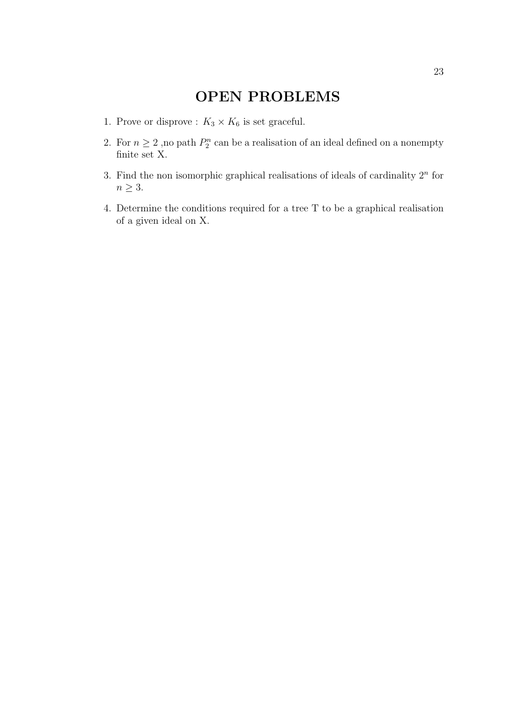# OPEN PROBLEMS

- 1. Prove or disprove :  $K_3 \times K_6$  is set graceful.
- 2. For  $n \geq 2$ , no path  $P_2^n$  can be a realisation of an ideal defined on a nonempty finite set X.
- 3. Find the non isomorphic graphical realisations of ideals of cardinality  $2<sup>n</sup>$  for  $n \geq 3$ .
- 4. Determine the conditions required for a tree T to be a graphical realisation of a given ideal on X.